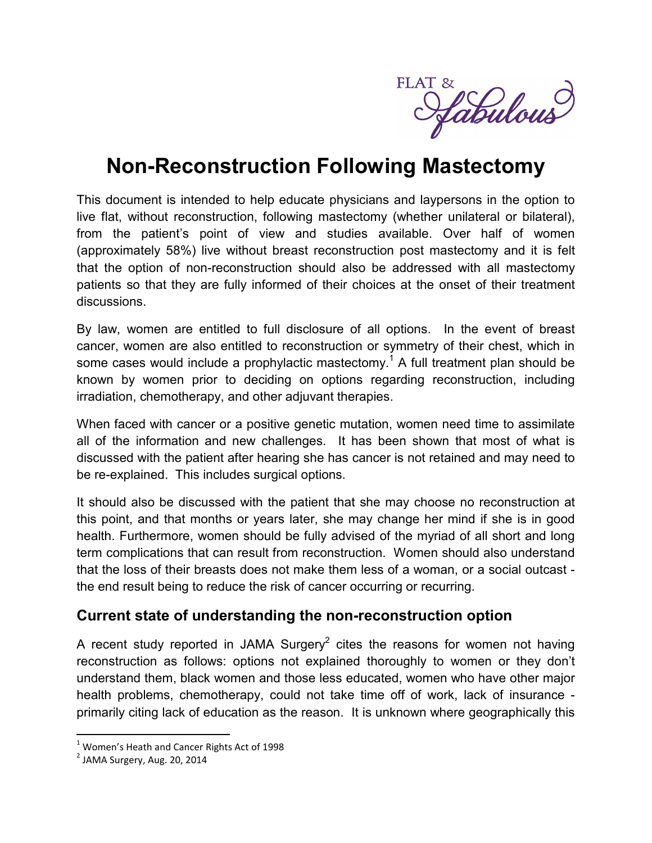

# **Non-Reconstruction Following Mastectomy**

This document is intended to help educate physicians and laypersons in the option to live flat, without reconstruction, following mastectomy (whether unilateral or bilateral), from the patient's point of view and studies available. Over half of women (approximately 58%) live without breast reconstruction post mastectomy and it is felt that the option of non-reconstruction should also be addressed with all mastectomy patients so that they are fully informed of their choices at the onset of their treatment discussions.

By law, women are entitled to full disclosure of all options. In the event of breast cancer, women are also entitled to reconstruction or symmetry of their chest, which in some cases would include a prophylactic mastectomy.<sup>1</sup> A full treatment plan should be known by women prior to deciding on options regarding reconstruction, including irradiation, chemotherapy, and other adjuvant therapies.

When faced with cancer or a positive genetic mutation, women need time to assimilate all of the information and new challenges. It has been shown that most of what is discussed with the patient after hearing she has cancer is not retained and may need to be re-explained. This includes surgical options.

It should also be discussed with the patient that she may choose no reconstruction at this point, and that months or years later, she may change her mind if she is in good health. Furthermore, women should be fully advised of the myriad of all short and long term complications that can result from reconstruction. Women should also understand that the loss of their breasts does not make them less of a woman, or a social outcast the end result being to reduce the risk of cancer occurring or recurring.

#### **Current state of understanding the non-reconstruction option**

A recent study reported in JAMA Surgery<sup>2</sup> cites the reasons for women not having reconstruction as follows: options not explained thoroughly to women or they don't understand them, black women and those less educated, women who have other major health problems, chemotherapy, could not take time off of work, lack of insurance primarily citing lack of education as the reason. It is unknown where geographically this

 $\overline{a}$ 

 $<sup>1</sup>$  Women's Heath and Cancer Rights Act of 1998</sup>

 $^{2}$  JAMA Surgery, Aug. 20, 2014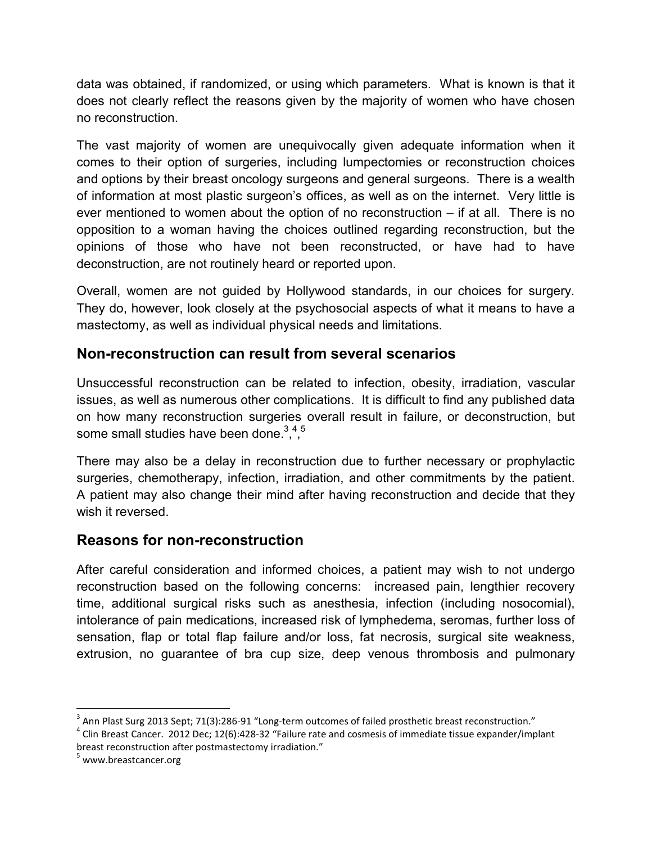data was obtained, if randomized, or using which parameters. What is known is that it does not clearly reflect the reasons given by the majority of women who have chosen no reconstruction.

The vast majority of women are unequivocally given adequate information when it comes to their option of surgeries, including lumpectomies or reconstruction choices and options by their breast oncology surgeons and general surgeons. There is a wealth of information at most plastic surgeon's offices, as well as on the internet. Very little is ever mentioned to women about the option of no reconstruction – if at all. There is no opposition to a woman having the choices outlined regarding reconstruction, but the opinions of those who have not been reconstructed, or have had to have deconstruction, are not routinely heard or reported upon.

Overall, women are not guided by Hollywood standards, in our choices for surgery. They do, however, look closely at the psychosocial aspects of what it means to have a mastectomy, as well as individual physical needs and limitations.

#### **Non-reconstruction can result from several scenarios**

Unsuccessful reconstruction can be related to infection, obesity, irradiation, vascular issues, as well as numerous other complications. It is difficult to find any published data on how many reconstruction surgeries overall result in failure, or deconstruction, but some small studies have been done. $3,4,5$ 

There may also be a delay in reconstruction due to further necessary or prophylactic surgeries, chemotherapy, infection, irradiation, and other commitments by the patient. A patient may also change their mind after having reconstruction and decide that they wish it reversed.

#### **Reasons for non-reconstruction**

After careful consideration and informed choices, a patient may wish to not undergo reconstruction based on the following concerns: increased pain, lengthier recovery time, additional surgical risks such as anesthesia, infection (including nosocomial), intolerance of pain medications, increased risk of lymphedema, seromas, further loss of sensation, flap or total flap failure and/or loss, fat necrosis, surgical site weakness, extrusion, no guarantee of bra cup size, deep venous thrombosis and pulmonary

 $\overline{\phantom{a}}$ 

 $^3$  Ann Plast Surg 2013 Sept; 71(3):286-91 "Long-term outcomes of failed prosthetic breast reconstruction."<br> $^4$  Clin Preast Cancer, 2012 Dee: 12(6):428, 22 "Failure rate and compeis of immediate tissue eventyles (imm

<sup>&</sup>lt;sup>4</sup> Clin Breast Cancer. 2012 Dec; 12(6):428-32 "Failure rate and cosmesis of immediate tissue expander/implant breast reconstruction after postmastectomy irradiation."

<sup>&</sup>lt;sup>5</sup> www.breastcancer.org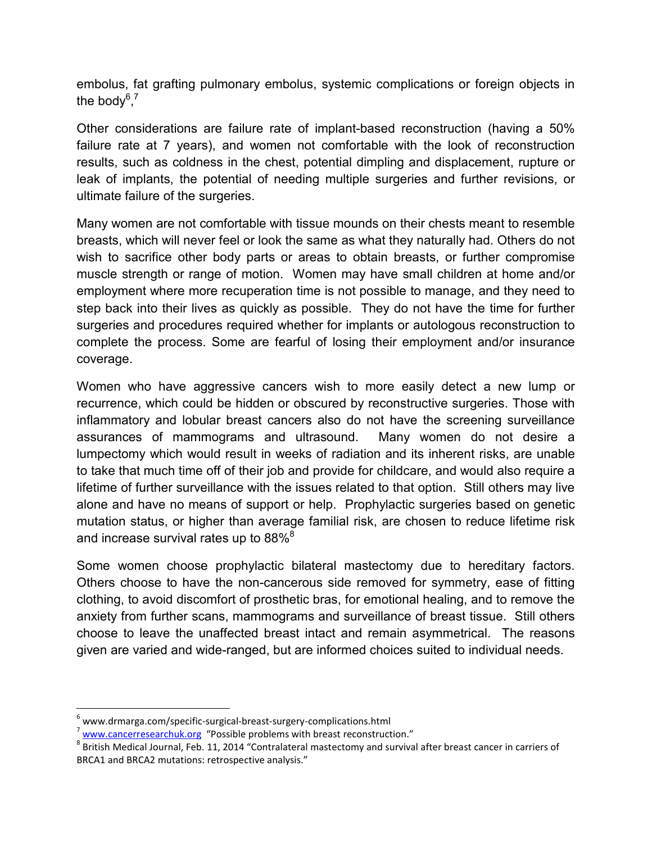embolus, fat grafting pulmonary embolus, systemic complications or foreign objects in the body $^{6,7}$ 

Other considerations are failure rate of implant-based reconstruction (having a 50% failure rate at 7 years), and women not comfortable with the look of reconstruction results, such as coldness in the chest, potential dimpling and displacement, rupture or leak of implants, the potential of needing multiple surgeries and further revisions, or ultimate failure of the surgeries.

Many women are not comfortable with tissue mounds on their chests meant to resemble breasts, which will never feel or look the same as what they naturally had. Others do not wish to sacrifice other body parts or areas to obtain breasts, or further compromise muscle strength or range of motion. Women may have small children at home and/or employment where more recuperation time is not possible to manage, and they need to step back into their lives as quickly as possible. They do not have the time for further surgeries and procedures required whether for implants or autologous reconstruction to complete the process. Some are fearful of losing their employment and/or insurance coverage.

Women who have aggressive cancers wish to more easily detect a new lump or recurrence, which could be hidden or obscured by reconstructive surgeries. Those with inflammatory and lobular breast cancers also do not have the screening surveillance assurances of mammograms and ultrasound. Many women do not desire a lumpectomy which would result in weeks of radiation and its inherent risks, are unable to take that much time off of their job and provide for childcare, and would also require a lifetime of further surveillance with the issues related to that option. Still others may live alone and have no means of support or help. Prophylactic surgeries based on genetic mutation status, or higher than average familial risk, are chosen to reduce lifetime risk and increase survival rates up to 88% $8^8$ 

Some women choose prophylactic bilateral mastectomy due to hereditary factors. Others choose to have the non-cancerous side removed for symmetry, ease of fitting clothing, to avoid discomfort of prosthetic bras, for emotional healing, and to remove the anxiety from further scans, mammograms and surveillance of breast tissue. Still others choose to leave the unaffected breast intact and remain asymmetrical. The reasons given are varied and wide-ranged, but are informed choices suited to individual needs.

 $\overline{\phantom{a}}$ 

 $^6$  www.drmarga.com/specific-surgical-breast-surgery-complications.html

<sup>&</sup>lt;sup>7</sup> www.cancerresearchuk.org "Possible problems with breast reconstruction."

<sup>&</sup>lt;sup>8</sup> British Medical Journal, Feb. 11, 2014 "Contralateral mastectomy and survival after breast cancer in carriers of BRCA1 and BRCA2 mutations: retrospective analysis."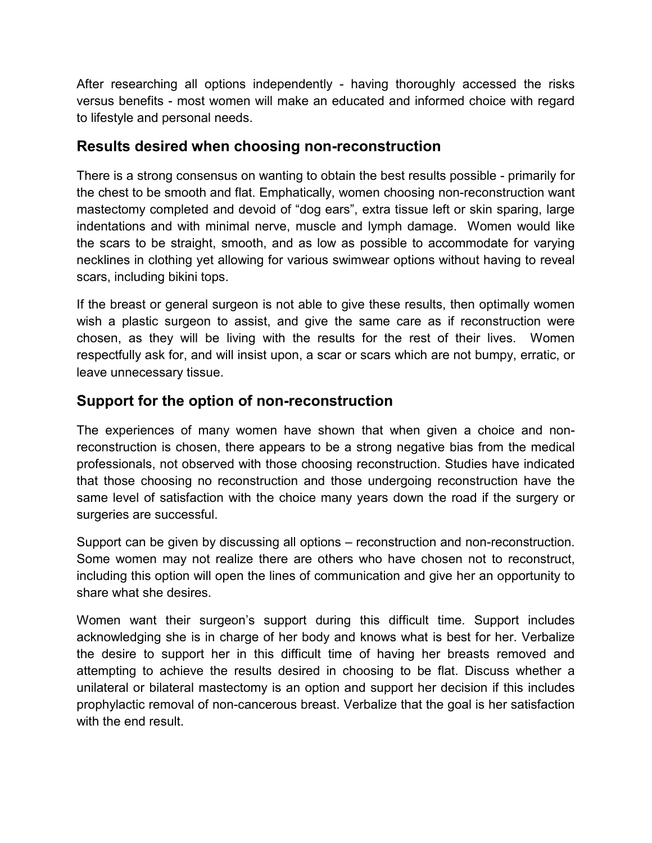After researching all options independently - having thoroughly accessed the risks versus benefits - most women will make an educated and informed choice with regard to lifestyle and personal needs.

#### **Results desired when choosing non-reconstruction**

There is a strong consensus on wanting to obtain the best results possible - primarily for the chest to be smooth and flat. Emphatically, women choosing non-reconstruction want mastectomy completed and devoid of "dog ears", extra tissue left or skin sparing, large indentations and with minimal nerve, muscle and lymph damage. Women would like the scars to be straight, smooth, and as low as possible to accommodate for varying necklines in clothing yet allowing for various swimwear options without having to reveal scars, including bikini tops.

If the breast or general surgeon is not able to give these results, then optimally women wish a plastic surgeon to assist, and give the same care as if reconstruction were chosen, as they will be living with the results for the rest of their lives. Women respectfully ask for, and will insist upon, a scar or scars which are not bumpy, erratic, or leave unnecessary tissue.

### **Support for the option of non-reconstruction**

The experiences of many women have shown that when given a choice and nonreconstruction is chosen, there appears to be a strong negative bias from the medical professionals, not observed with those choosing reconstruction. Studies have indicated that those choosing no reconstruction and those undergoing reconstruction have the same level of satisfaction with the choice many years down the road if the surgery or surgeries are successful.

Support can be given by discussing all options – reconstruction and non-reconstruction. Some women may not realize there are others who have chosen not to reconstruct, including this option will open the lines of communication and give her an opportunity to share what she desires.

Women want their surgeon's support during this difficult time. Support includes acknowledging she is in charge of her body and knows what is best for her. Verbalize the desire to support her in this difficult time of having her breasts removed and attempting to achieve the results desired in choosing to be flat. Discuss whether a unilateral or bilateral mastectomy is an option and support her decision if this includes prophylactic removal of non-cancerous breast. Verbalize that the goal is her satisfaction with the end result.